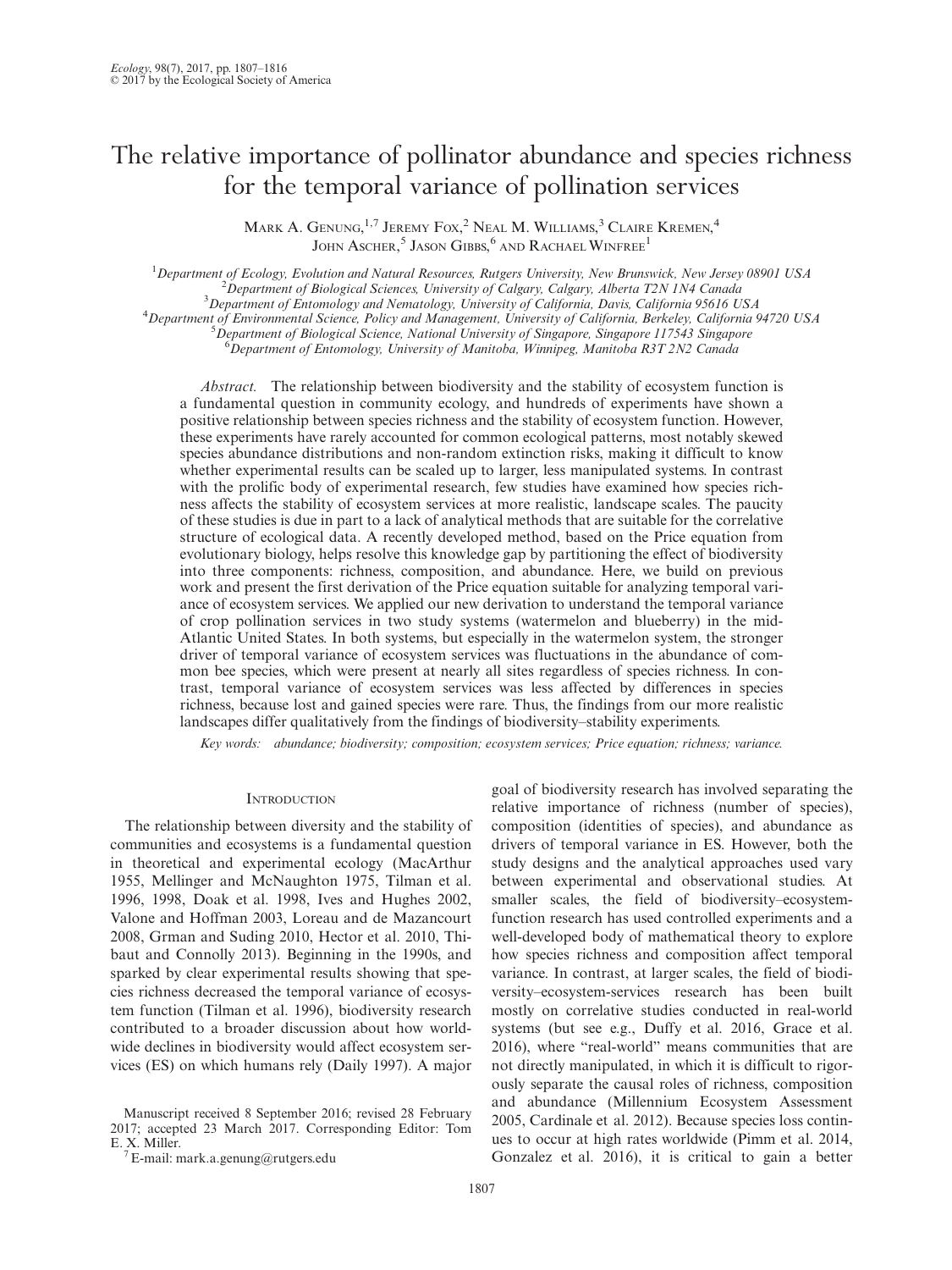# The relative importance of pollinator abundance and species richness for the temporal variance of pollination services

Mark A. Genung,  $^{1,7}$  Jeremy Fox,  $^2$  Neal M. Williams,  $^3$  Claire Kremen,  $^4$ JOHN ASCHER, $^5$  Jason Gibbs, $^6$  and Rachael Winfree $^1$ 

<sup>1</sup>Department of Ecology, Evolution and Natural Resources, Rutgers University, New Brunswick, New Jersey 08901 USA<br><sup>2</sup>Department of Biological Sciences, University of Calgary, Calgary, Alberta T2N UM Canada  $P^2$ Department of Biological Sciences, University of Calgary, Calgary, Alberta T2N 1N4 Canada  ${}^{3}$ Department of Entomology and Nematology, University of California, Davis, California 95616 USA <sup>4</sup>Department of Environmental Science, Policy and Management, University of California, Berkeley, California 94720 USA  $\overline{S}$ Department of Biological Science, National University of Singapore, Singapore 117543 Singapore 6 Department of Entomology, University of Manitoba, Winnipeg, Manitoba R3T 2N2 Canada

Abstract. The relationship between biodiversity and the stability of ecosystem function is a fundamental question in community ecology, and hundreds of experiments have shown a positive relationship between species richness and the stability of ecosystem function. However, these experiments have rarely accounted for common ecological patterns, most notably skewed species abundance distributions and non-random extinction risks, making it difficult to know whether experimental results can be scaled up to larger, less manipulated systems. In contrast with the prolific body of experimental research, few studies have examined how species richness affects the stability of ecosystem services at more realistic, landscape scales. The paucity of these studies is due in part to a lack of analytical methods that are suitable for the correlative structure of ecological data. A recently developed method, based on the Price equation from evolutionary biology, helps resolve this knowledge gap by partitioning the effect of biodiversity into three components: richness, composition, and abundance. Here, we build on previous work and present the first derivation of the Price equation suitable for analyzing temporal variance of ecosystem services. We applied our new derivation to understand the temporal variance of crop pollination services in two study systems (watermelon and blueberry) in the mid-Atlantic United States. In both systems, but especially in the watermelon system, the stronger driver of temporal variance of ecosystem services was fluctuations in the abundance of common bee species, which were present at nearly all sites regardless of species richness. In contrast, temporal variance of ecosystem services was less affected by differences in species richness, because lost and gained species were rare. Thus, the findings from our more realistic landscapes differ qualitatively from the findings of biodiversity–stability experiments.

Key words: abundance; biodiversity; composition; ecosystem services; Price equation; richness; variance.

# **INTRODUCTION**

The relationship between diversity and the stability of communities and ecosystems is a fundamental question in theoretical and experimental ecology (MacArthur 1955, Mellinger and McNaughton 1975, Tilman et al. 1996, 1998, Doak et al. 1998, Ives and Hughes 2002, Valone and Hoffman 2003, Loreau and de Mazancourt 2008, Grman and Suding 2010, Hector et al. 2010, Thibaut and Connolly 2013). Beginning in the 1990s, and sparked by clear experimental results showing that species richness decreased the temporal variance of ecosystem function (Tilman et al. 1996), biodiversity research contributed to a broader discussion about how worldwide declines in biodiversity would affect ecosystem services (ES) on which humans rely (Daily 1997). A major

goal of biodiversity research has involved separating the relative importance of richness (number of species), composition (identities of species), and abundance as drivers of temporal variance in ES. However, both the study designs and the analytical approaches used vary between experimental and observational studies. At smaller scales, the field of biodiversity–ecosystemfunction research has used controlled experiments and a well-developed body of mathematical theory to explore how species richness and composition affect temporal variance. In contrast, at larger scales, the field of biodiversity–ecosystem-services research has been built mostly on correlative studies conducted in real-world systems (but see e.g., Duffy et al. 2016, Grace et al. 2016), where "real-world" means communities that are not directly manipulated, in which it is difficult to rigorously separate the causal roles of richness, composition and abundance (Millennium Ecosystem Assessment 2005, Cardinale et al. 2012). Because species loss continues to occur at high rates worldwide (Pimm et al. 2014, Gonzalez et al. 2016), it is critical to gain a better

Manuscript received 8 September 2016; revised 28 February 2017; accepted 23 March 2017. Corresponding Editor: Tom E. X. Miller.<br><sup>7</sup> E-mail: mark.a.genung@rutgers.edu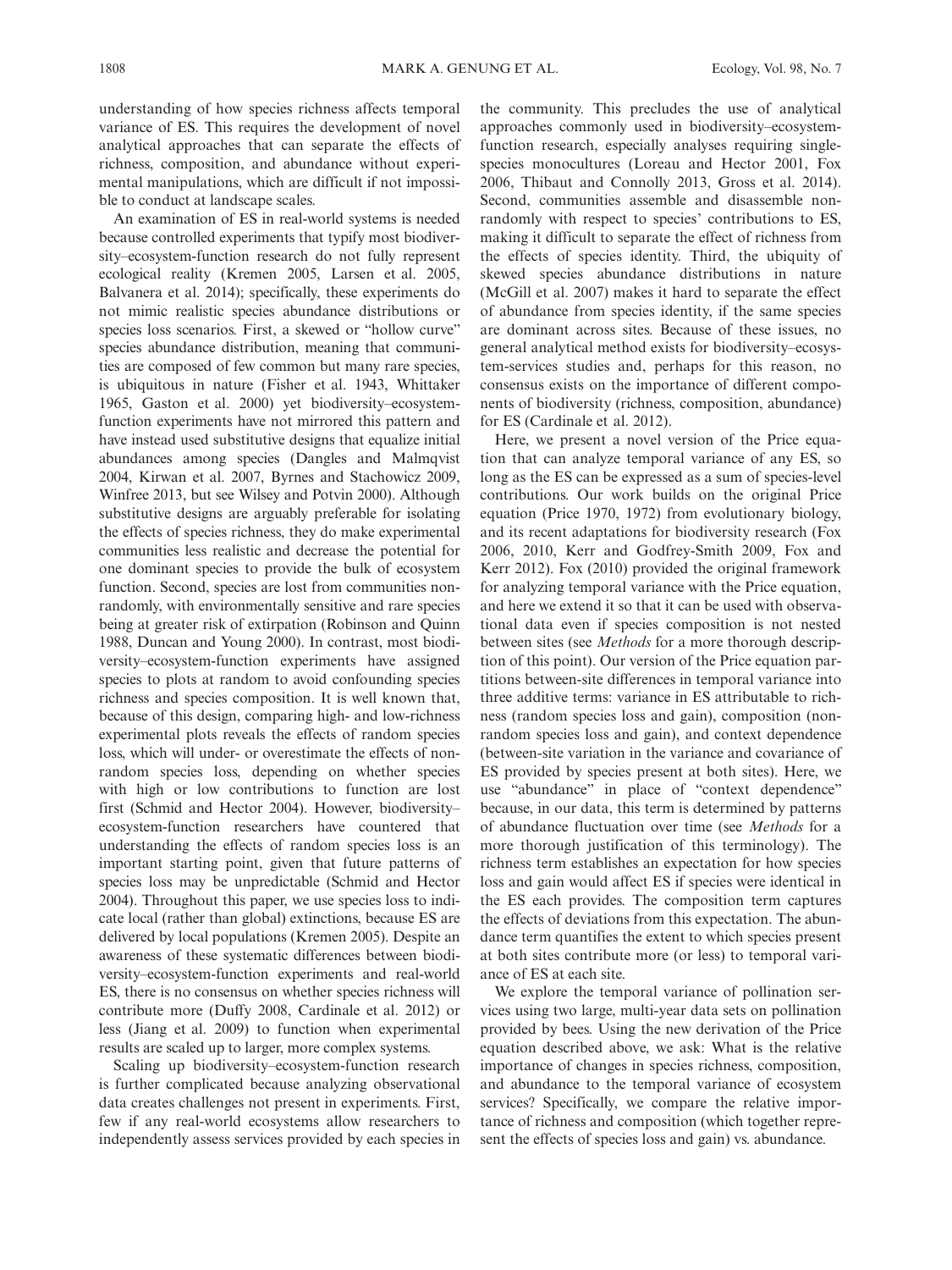understanding of how species richness affects temporal variance of ES. This requires the development of novel analytical approaches that can separate the effects of richness, composition, and abundance without experimental manipulations, which are difficult if not impossible to conduct at landscape scales.

An examination of ES in real-world systems is needed because controlled experiments that typify most biodiversity–ecosystem-function research do not fully represent ecological reality (Kremen 2005, Larsen et al. 2005, Balvanera et al. 2014); specifically, these experiments do not mimic realistic species abundance distributions or species loss scenarios. First, a skewed or "hollow curve" species abundance distribution, meaning that communities are composed of few common but many rare species, is ubiquitous in nature (Fisher et al. 1943, Whittaker 1965, Gaston et al. 2000) yet biodiversity–ecosystemfunction experiments have not mirrored this pattern and have instead used substitutive designs that equalize initial abundances among species (Dangles and Malmqvist 2004, Kirwan et al. 2007, Byrnes and Stachowicz 2009, Winfree 2013, but see Wilsey and Potvin 2000). Although substitutive designs are arguably preferable for isolating the effects of species richness, they do make experimental communities less realistic and decrease the potential for one dominant species to provide the bulk of ecosystem function. Second, species are lost from communities nonrandomly, with environmentally sensitive and rare species being at greater risk of extirpation (Robinson and Quinn 1988, Duncan and Young 2000). In contrast, most biodiversity–ecosystem-function experiments have assigned species to plots at random to avoid confounding species richness and species composition. It is well known that, because of this design, comparing high- and low-richness experimental plots reveals the effects of random species loss, which will under- or overestimate the effects of nonrandom species loss, depending on whether species with high or low contributions to function are lost first (Schmid and Hector 2004). However, biodiversity– ecosystem-function researchers have countered that understanding the effects of random species loss is an important starting point, given that future patterns of species loss may be unpredictable (Schmid and Hector 2004). Throughout this paper, we use species loss to indicate local (rather than global) extinctions, because ES are delivered by local populations (Kremen 2005). Despite an awareness of these systematic differences between biodiversity–ecosystem-function experiments and real-world ES, there is no consensus on whether species richness will contribute more (Duffy 2008, Cardinale et al. 2012) or less (Jiang et al. 2009) to function when experimental results are scaled up to larger, more complex systems.

Scaling up biodiversity–ecosystem-function research is further complicated because analyzing observational data creates challenges not present in experiments. First, few if any real-world ecosystems allow researchers to independently assess services provided by each species in

the community. This precludes the use of analytical approaches commonly used in biodiversity–ecosystemfunction research, especially analyses requiring singlespecies monocultures (Loreau and Hector 2001, Fox 2006, Thibaut and Connolly 2013, Gross et al. 2014). Second, communities assemble and disassemble nonrandomly with respect to species' contributions to ES, making it difficult to separate the effect of richness from the effects of species identity. Third, the ubiquity of skewed species abundance distributions in nature (McGill et al. 2007) makes it hard to separate the effect of abundance from species identity, if the same species are dominant across sites. Because of these issues, no general analytical method exists for biodiversity–ecosystem-services studies and, perhaps for this reason, no consensus exists on the importance of different components of biodiversity (richness, composition, abundance) for ES (Cardinale et al. 2012).

Here, we present a novel version of the Price equation that can analyze temporal variance of any ES, so long as the ES can be expressed as a sum of species-level contributions. Our work builds on the original Price equation (Price 1970, 1972) from evolutionary biology, and its recent adaptations for biodiversity research (Fox 2006, 2010, Kerr and Godfrey-Smith 2009, Fox and Kerr 2012). Fox (2010) provided the original framework for analyzing temporal variance with the Price equation, and here we extend it so that it can be used with observational data even if species composition is not nested between sites (see Methods for a more thorough description of this point). Our version of the Price equation partitions between-site differences in temporal variance into three additive terms: variance in ES attributable to richness (random species loss and gain), composition (nonrandom species loss and gain), and context dependence (between-site variation in the variance and covariance of ES provided by species present at both sites). Here, we use "abundance" in place of "context dependence" because, in our data, this term is determined by patterns of abundance fluctuation over time (see Methods for a more thorough justification of this terminology). The richness term establishes an expectation for how species loss and gain would affect ES if species were identical in the ES each provides. The composition term captures the effects of deviations from this expectation. The abundance term quantifies the extent to which species present at both sites contribute more (or less) to temporal variance of ES at each site.

We explore the temporal variance of pollination services using two large, multi-year data sets on pollination provided by bees. Using the new derivation of the Price equation described above, we ask: What is the relative importance of changes in species richness, composition, and abundance to the temporal variance of ecosystem services? Specifically, we compare the relative importance of richness and composition (which together represent the effects of species loss and gain) vs. abundance.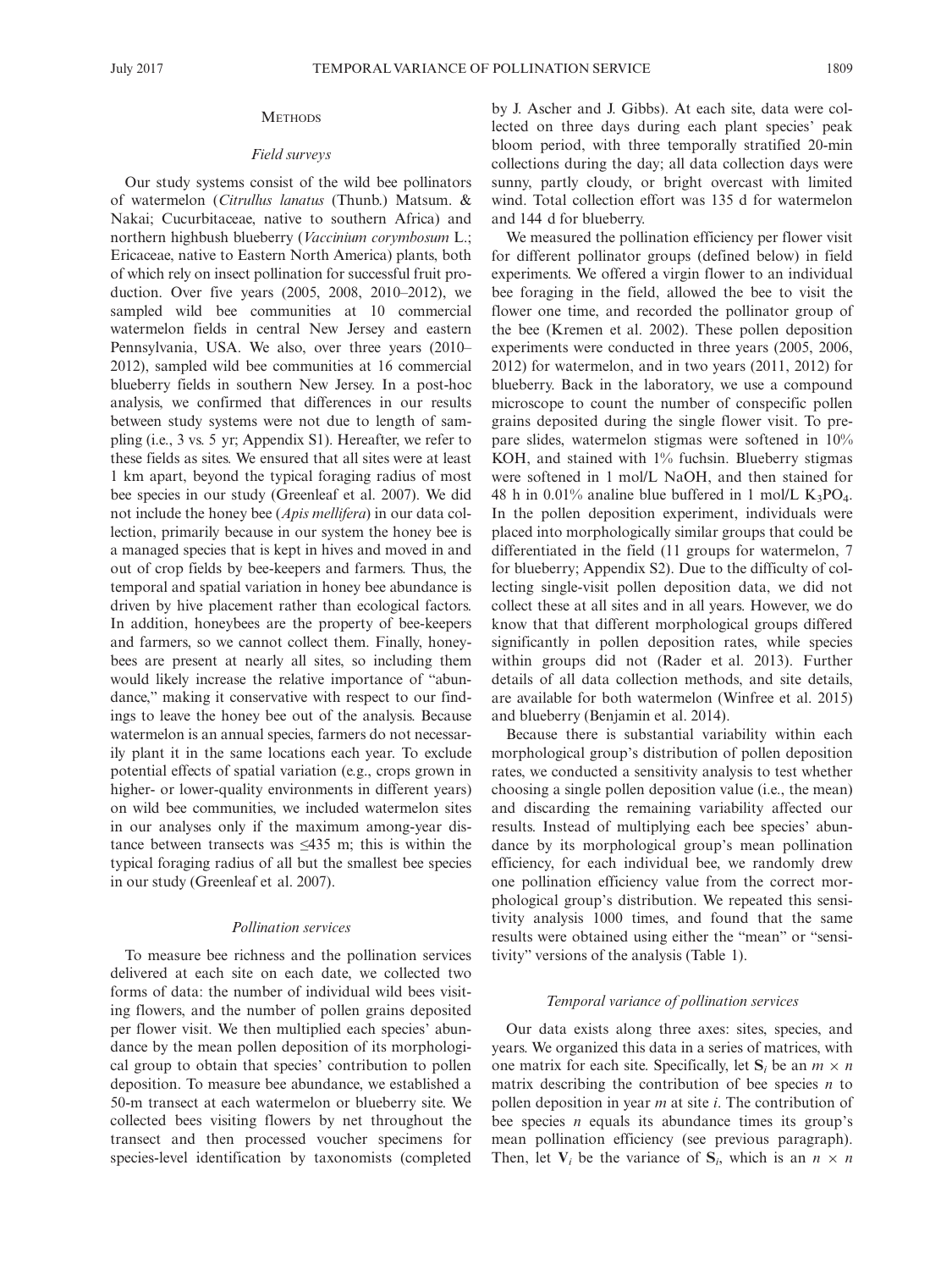#### **METHODS**

## Field surveys

Our study systems consist of the wild bee pollinators of watermelon (Citrullus lanatus (Thunb.) Matsum. & Nakai; Cucurbitaceae, native to southern Africa) and northern highbush blueberry (Vaccinium corymbosum L.; Ericaceae, native to Eastern North America) plants, both of which rely on insect pollination for successful fruit production. Over five years (2005, 2008, 2010–2012), we sampled wild bee communities at 10 commercial watermelon fields in central New Jersey and eastern Pennsylvania, USA. We also, over three years (2010– 2012), sampled wild bee communities at 16 commercial blueberry fields in southern New Jersey. In a post-hoc analysis, we confirmed that differences in our results between study systems were not due to length of sampling (i.e., 3 vs. 5 yr; Appendix S1). Hereafter, we refer to these fields as sites. We ensured that all sites were at least 1 km apart, beyond the typical foraging radius of most bee species in our study (Greenleaf et al. 2007). We did not include the honey bee (Apis mellifera) in our data collection, primarily because in our system the honey bee is a managed species that is kept in hives and moved in and out of crop fields by bee-keepers and farmers. Thus, the temporal and spatial variation in honey bee abundance is driven by hive placement rather than ecological factors. In addition, honeybees are the property of bee-keepers and farmers, so we cannot collect them. Finally, honeybees are present at nearly all sites, so including them would likely increase the relative importance of "abundance," making it conservative with respect to our findings to leave the honey bee out of the analysis. Because watermelon is an annual species, farmers do not necessarily plant it in the same locations each year. To exclude potential effects of spatial variation (e.g., crops grown in higher- or lower-quality environments in different years) on wild bee communities, we included watermelon sites in our analyses only if the maximum among-year distance between transects was  $\leq 435$  m; this is within the typical foraging radius of all but the smallest bee species in our study (Greenleaf et al. 2007).

# Pollination services

To measure bee richness and the pollination services delivered at each site on each date, we collected two forms of data: the number of individual wild bees visiting flowers, and the number of pollen grains deposited per flower visit. We then multiplied each species' abundance by the mean pollen deposition of its morphological group to obtain that species' contribution to pollen deposition. To measure bee abundance, we established a 50-m transect at each watermelon or blueberry site. We collected bees visiting flowers by net throughout the transect and then processed voucher specimens for species-level identification by taxonomists (completed by J. Ascher and J. Gibbs). At each site, data were collected on three days during each plant species' peak bloom period, with three temporally stratified 20-min collections during the day; all data collection days were sunny, partly cloudy, or bright overcast with limited wind. Total collection effort was 135 d for watermelon and 144 d for blueberry.

We measured the pollination efficiency per flower visit for different pollinator groups (defined below) in field experiments. We offered a virgin flower to an individual bee foraging in the field, allowed the bee to visit the flower one time, and recorded the pollinator group of the bee (Kremen et al. 2002). These pollen deposition experiments were conducted in three years (2005, 2006, 2012) for watermelon, and in two years (2011, 2012) for blueberry. Back in the laboratory, we use a compound microscope to count the number of conspecific pollen grains deposited during the single flower visit. To prepare slides, watermelon stigmas were softened in 10% KOH, and stained with 1% fuchsin. Blueberry stigmas were softened in 1 mol/L NaOH, and then stained for 48 h in 0.01% analine blue buffered in 1 mol/L  $K_3PO_4$ . In the pollen deposition experiment, individuals were placed into morphologically similar groups that could be differentiated in the field (11 groups for watermelon, 7 for blueberry; Appendix S2). Due to the difficulty of collecting single-visit pollen deposition data, we did not collect these at all sites and in all years. However, we do know that that different morphological groups differed significantly in pollen deposition rates, while species within groups did not (Rader et al. 2013). Further details of all data collection methods, and site details, are available for both watermelon (Winfree et al. 2015) and blueberry (Benjamin et al. 2014).

Because there is substantial variability within each morphological group's distribution of pollen deposition rates, we conducted a sensitivity analysis to test whether choosing a single pollen deposition value (i.e., the mean) and discarding the remaining variability affected our results. Instead of multiplying each bee species' abundance by its morphological group's mean pollination efficiency, for each individual bee, we randomly drew one pollination efficiency value from the correct morphological group's distribution. We repeated this sensitivity analysis 1000 times, and found that the same results were obtained using either the "mean" or "sensitivity" versions of the analysis (Table 1).

## Temporal variance of pollination services

Our data exists along three axes: sites, species, and years. We organized this data in a series of matrices, with one matrix for each site. Specifically, let  $S_i$  be an  $m \times n$ matrix describing the contribution of bee species  $n$  to pollen deposition in year  $m$  at site  $i$ . The contribution of bee species  $n$  equals its abundance times its group's mean pollination efficiency (see previous paragraph). Then, let  $V_i$  be the variance of  $S_i$ , which is an  $n \times n$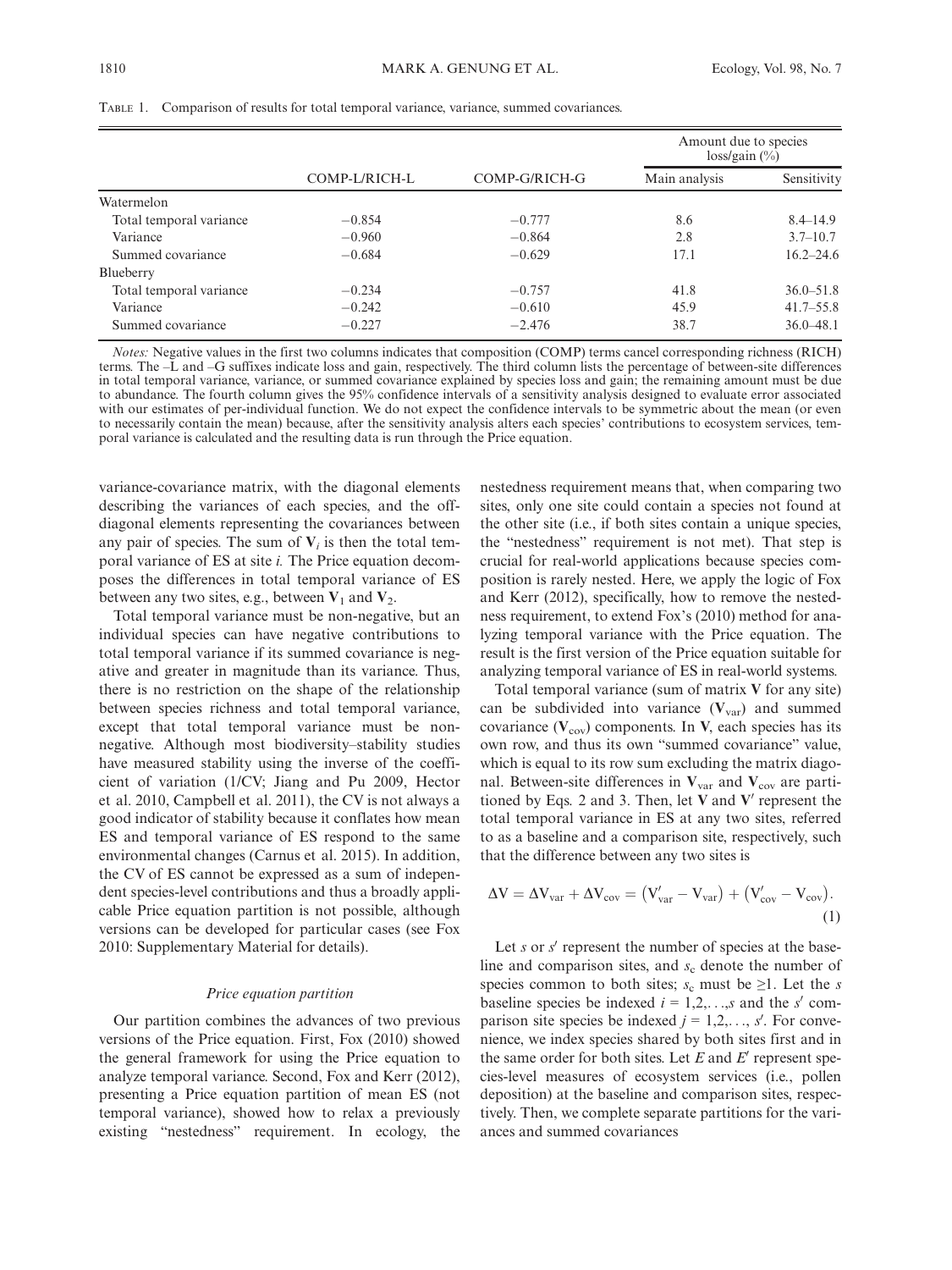|                         | COMP-L/RICH-L | COMP-G/RICH-G | Amount due to species<br>$loss/gain$ (%) |               |
|-------------------------|---------------|---------------|------------------------------------------|---------------|
|                         |               |               | Main analysis                            | Sensitivity   |
| Watermelon              |               |               |                                          |               |
| Total temporal variance | $-0.854$      | $-0.777$      | 8.6                                      | $8.4 - 14.9$  |
| Variance                | $-0.960$      | $-0.864$      | 2.8                                      | $3.7 - 10.7$  |
| Summed covariance       | $-0.684$      | $-0.629$      | 17.1                                     | $16.2 - 24.6$ |
| Blueberry               |               |               |                                          |               |
| Total temporal variance | $-0.234$      | $-0.757$      | 41.8                                     | $36.0 - 51.8$ |
| Variance                | $-0.242$      | $-0.610$      | 45.9                                     | $41.7 - 55.8$ |
| Summed covariance       | $-0.227$      | $-2.476$      | 38.7                                     | $36.0 - 48.1$ |

TABLE 1. Comparison of results for total temporal variance, variance, summed covariances.

Notes: Negative values in the first two columns indicates that composition (COMP) terms cancel corresponding richness (RICH) terms. The –L and –G suffixes indicate loss and gain, respectively. The third column lists the percentage of between-site differences in total temporal variance, variance, or summed covariance explained by species loss and gain; the remaining amount must be due to abundance. The fourth column gives the 95% confidence intervals of a sensitivity analysis designed to evaluate error associated with our estimates of per-individual function. We do not expect the confidence intervals to be symmetric about the mean (or even to necessarily contain the mean) because, after the sensitivity analysis alters each species' contributions to ecosystem services, temporal variance is calculated and the resulting data is run through the Price equation.

variance-covariance matrix, with the diagonal elements describing the variances of each species, and the offdiagonal elements representing the covariances between any pair of species. The sum of  $V_i$  is then the total temporal variance of ES at site i. The Price equation decomposes the differences in total temporal variance of ES between any two sites, e.g., between  $V_1$  and  $V_2$ .

Total temporal variance must be non-negative, but an individual species can have negative contributions to total temporal variance if its summed covariance is negative and greater in magnitude than its variance. Thus, there is no restriction on the shape of the relationship between species richness and total temporal variance, except that total temporal variance must be nonnegative. Although most biodiversity–stability studies have measured stability using the inverse of the coefficient of variation (1/CV; Jiang and Pu 2009, Hector et al. 2010, Campbell et al. 2011), the CV is not always a good indicator of stability because it conflates how mean ES and temporal variance of ES respond to the same environmental changes (Carnus et al. 2015). In addition, the CV of ES cannot be expressed as a sum of independent species-level contributions and thus a broadly applicable Price equation partition is not possible, although versions can be developed for particular cases (see Fox 2010: Supplementary Material for details).

## Price equation partition

Our partition combines the advances of two previous versions of the Price equation. First, Fox (2010) showed the general framework for using the Price equation to analyze temporal variance. Second, Fox and Kerr (2012), presenting a Price equation partition of mean ES (not temporal variance), showed how to relax a previously existing "nestedness" requirement. In ecology, the nestedness requirement means that, when comparing two sites, only one site could contain a species not found at the other site (i.e., if both sites contain a unique species, the "nestedness" requirement is not met). That step is crucial for real-world applications because species composition is rarely nested. Here, we apply the logic of Fox and Kerr (2012), specifically, how to remove the nestedness requirement, to extend Fox's (2010) method for analyzing temporal variance with the Price equation. The result is the first version of the Price equation suitable for analyzing temporal variance of ES in real-world systems.

Total temporal variance (sum of matrix V for any site) can be subdivided into variance  $(V_{var})$  and summed covariance  $(V_{\text{cov}})$  components. In V, each species has its own row, and thus its own "summed covariance" value, which is equal to its row sum excluding the matrix diagonal. Between-site differences in  $V_{var}$  and  $V_{cov}$  are partitioned by Eqs. 2 and 3. Then, let V and V' represent the total temporal variance in ES at any two sites, referred to as a baseline and a comparison site, respectively, such that the difference between any two sites is

$$
\Delta V = \Delta V_{var} + \Delta V_{cov} = (V'_{var} - V_{var}) + (V'_{cov} - V_{cov}).
$$
\n(1)

Let s or  $s'$  represent the number of species at the baseline and comparison sites, and  $s_c$  denote the number of species common to both sites;  $s_c$  must be  $\geq 1$ . Let the s baseline species be indexed  $i = 1, 2, \ldots, s$  and the s' comparison site species be indexed  $j = 1, 2, \ldots, s'$ . For convenience, we index species shared by both sites first and in the same order for both sites. Let  $E$  and  $E'$  represent species-level measures of ecosystem services (i.e., pollen deposition) at the baseline and comparison sites, respectively. Then, we complete separate partitions for the variances and summed covariances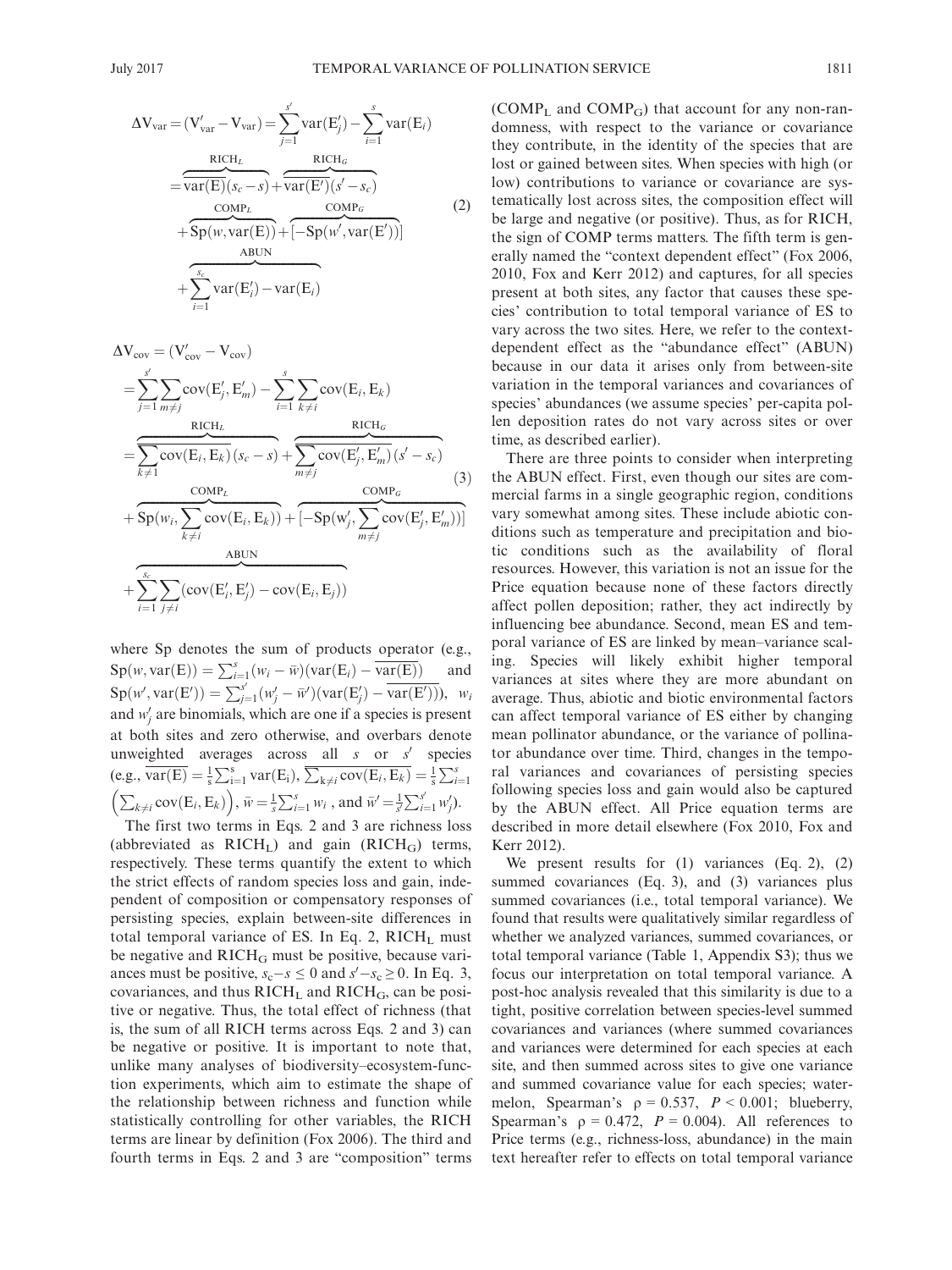$$
\Delta V_{var} = (V'_{var} - V_{var}) = \sum_{j=1}^{s'} var(E'_j) - \sum_{i=1}^{s} var(E_i)
$$
  
\n
$$
= \overbrace{var(E)}_{var(E)}(s_c - s) + \overbrace{var(E')}_{var(E)}(s' - s_c)
$$
  
\n
$$
+ \overbrace{Sp(w, var(E))}_{ABUN} + \overbrace{[-Sp(w', var(E'))]}_{var(E)} + \overbrace{[+Sp(w', var(E'))]}_{var(E)} + \sum_{i=1}^{s_c} var(E'_i) - var(E_i)
$$
\n(2)

$$
\Delta V_{cov} = (V'_{cov} - V_{cov})
$$
\n
$$
= \sum_{j=1}^{s'} \sum_{m \neq j} cov(E'_j, E'_m) - \sum_{i=1}^{s} \sum_{k \neq i} cov(E_i, E_k)
$$
\n
$$
= \overbrace{\sum_{k \neq 1} cov(E_i, E_k)}^{\text{RICH}_L} (s_c - s) + \overbrace{\sum_{m \neq j} cov(E'_j, E'_m)}^{\text{RICH}_G} (s' - s_c)
$$
\n
$$
+ \overbrace{\text{Sp}(w_i, \sum_{k \neq i} cov(E_i, E_k))}^{\text{COMP}_L} + \overbrace{[-\text{Sp}(w'_j, \sum_{m \neq j} cov(E'_j, E'_m))]}^{\text{ABUN}} + \sum_{i=1}^{s_c} \sum_{j \neq i} (cov(E'_i, E'_j) - cov(E_i, E_j))
$$
\n
$$
(3)
$$

where Sp denotes the sum of products operator (e.g.,  $Sp(w, var(E)) = \sum_{i=1}^{s} (w_i - \overline{w})(var(E_i) - \overline{var(E)})$  and  $\mathrm{Sp}(w', \mathrm{var}(E')) = \sum_{j=1}^{s'} (w'_j - \bar{w}')(\mathrm{var}(E'_j) - \overline{\mathrm{var}(E'))}), \ w_i$ and  $w_j$  are binomials, which are one if a species is present at both sites and zero otherwise, and overbars denote unweighted averages across all  $s$  or  $s'$  species (e.g.,  $\overline{var(E)} = \frac{1}{s} \sum_{i=1}^{s} var(E_i), \overline{\sum_{k \neq i} cov(E_i, E_k)} = \frac{1}{s} \sum_{i=1}^{s}$  $\left(\sum_{k\neq i} \text{cov}(\mathbf{E}_i, \mathbf{E}_k)\right), \, \bar{w} = \frac{1}{s} \sum_{i=1}^s w_i$ , and  $\bar{w}' = \frac{1}{s'} \sum_{i=1}^{s'} w'_i$ .

The first two terms in Eqs. 2 and 3 are richness loss (abbreviated as  $RICH<sub>L</sub>$ ) and gain ( $RICH<sub>G</sub>$ ) terms, respectively. These terms quantify the extent to which the strict effects of random species loss and gain, independent of composition or compensatory responses of persisting species, explain between-site differences in total temporal variance of ES. In Eq. 2,  $RICH<sub>L</sub>$  must be negative and  $\mathrm{RICH}_G$  must be positive, because variances must be positive,  $s_c - s \le 0$  and  $s' - s_c \ge 0$ . In Eq. 3, covariances, and thus  $\text{RICH}_{\text{L}}$  and  $\text{RICH}_{\text{G}}$  can be positive or negative. Thus, the total effect of richness (that is, the sum of all RICH terms across Eqs. 2 and 3) can be negative or positive. It is important to note that, unlike many analyses of biodiversity–ecosystem-function experiments, which aim to estimate the shape of the relationship between richness and function while statistically controlling for other variables, the RICH terms are linear by definition (Fox 2006). The third and fourth terms in Eqs. 2 and 3 are "composition" terms  $(COMP_L$  and  $COMP_G$ ) that account for any non-randomness, with respect to the variance or covariance they contribute, in the identity of the species that are lost or gained between sites. When species with high (or low) contributions to variance or covariance are systematically lost across sites, the composition effect will be large and negative (or positive). Thus, as for RICH, the sign of COMP terms matters. The fifth term is generally named the "context dependent effect" (Fox 2006, 2010, Fox and Kerr 2012) and captures, for all species present at both sites, any factor that causes these species' contribution to total temporal variance of ES to vary across the two sites. Here, we refer to the contextdependent effect as the "abundance effect" (ABUN) because in our data it arises only from between-site variation in the temporal variances and covariances of species' abundances (we assume species' per-capita pollen deposition rates do not vary across sites or over time, as described earlier).

There are three points to consider when interpreting the ABUN effect. First, even though our sites are commercial farms in a single geographic region, conditions vary somewhat among sites. These include abiotic conditions such as temperature and precipitation and biotic conditions such as the availability of floral resources. However, this variation is not an issue for the Price equation because none of these factors directly affect pollen deposition; rather, they act indirectly by influencing bee abundance. Second, mean ES and temporal variance of ES are linked by mean–variance scaling. Species will likely exhibit higher temporal variances at sites where they are more abundant on average. Thus, abiotic and biotic environmental factors can affect temporal variance of ES either by changing mean pollinator abundance, or the variance of pollinator abundance over time. Third, changes in the temporal variances and covariances of persisting species following species loss and gain would also be captured by the ABUN effect. All Price equation terms are described in more detail elsewhere (Fox 2010, Fox and Kerr 2012).

We present results for (1) variances (Eq. 2), (2) summed covariances (Eq. 3), and (3) variances plus summed covariances (i.e., total temporal variance). We found that results were qualitatively similar regardless of whether we analyzed variances, summed covariances, or total temporal variance (Table 1, Appendix S3); thus we focus our interpretation on total temporal variance. A post-hoc analysis revealed that this similarity is due to a tight, positive correlation between species-level summed covariances and variances (where summed covariances and variances were determined for each species at each site, and then summed across sites to give one variance and summed covariance value for each species; watermelon, Spearman's  $\rho = 0.537$ ,  $P < 0.001$ ; blueberry, Spearman's  $\rho = 0.472$ ,  $P = 0.004$ ). All references to Price terms (e.g., richness-loss, abundance) in the main text hereafter refer to effects on total temporal variance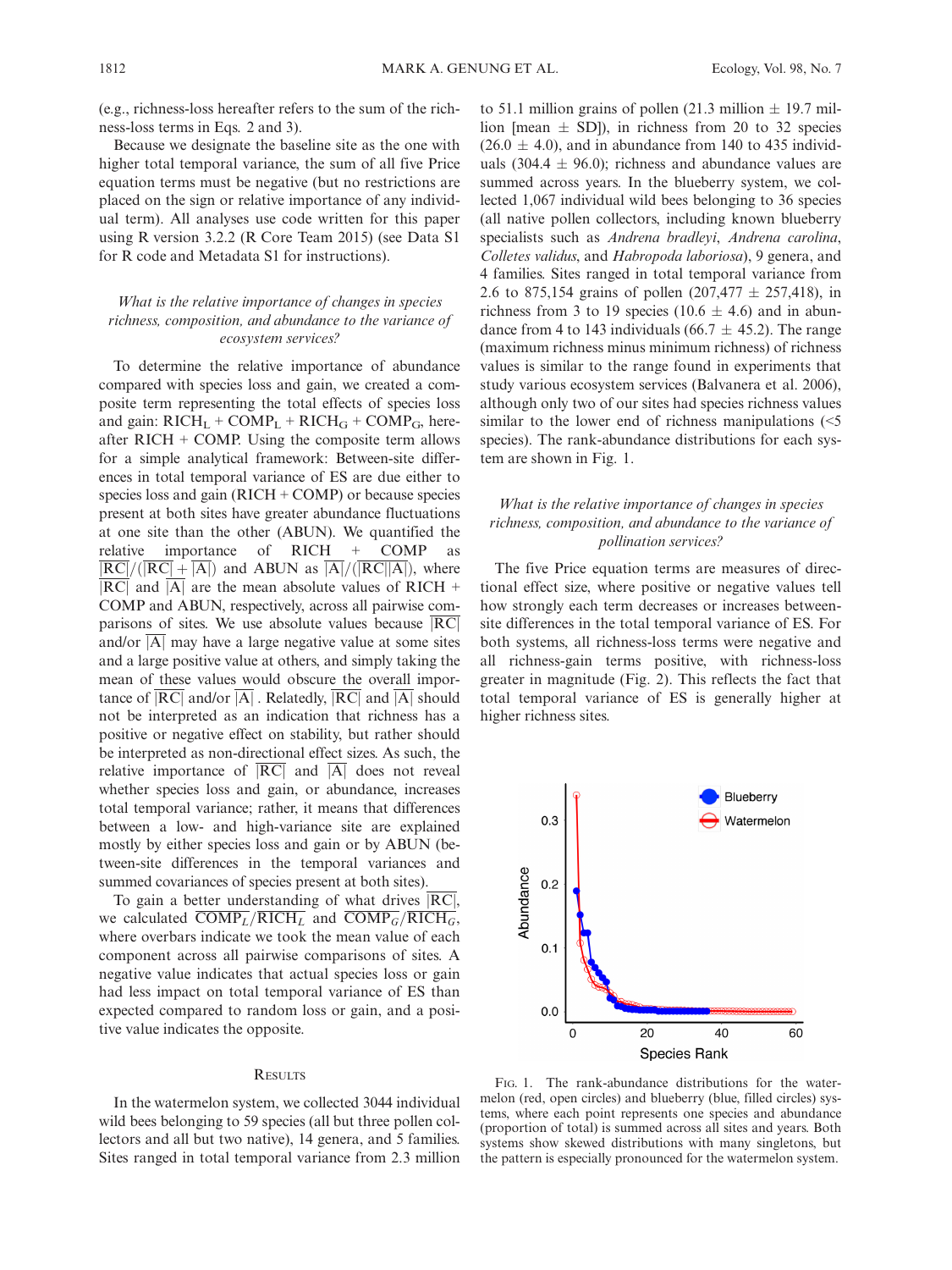Because we designate the baseline site as the one with higher total temporal variance, the sum of all five Price equation terms must be negative (but no restrictions are placed on the sign or relative importance of any individual term). All analyses use code written for this paper using R version 3.2.2 (R Core Team 2015) (see Data S1 for R code and Metadata S1 for instructions).

# What is the relative importance of changes in species richness, composition, and abundance to the variance of ecosystem services?

To determine the relative importance of abundance compared with species loss and gain, we created a composite term representing the total effects of species loss and gain:  $RICH_L + COMP_L + RICH_G + COMP_G$ , hereafter RICH + COMP. Using the composite term allows for a simple analytical framework: Between-site differences in total temporal variance of ES are due either to species loss and gain (RICH + COMP) or because species present at both sites have greater abundance fluctuations at one site than the other (ABUN). We quantified the relative importance of RICH + COMP as  $|RC|/(|RC|+|A|)$  and ABUN as  $|A|/(|RC||A|)$ , where  $|RC|$  and  $|A|$  are the mean absolute values of RICH + COMP and ABUN, respectively, across all pairwise comparisons of sites. We use absolute values because  $|RC|$ and/or jAj may have a large negative value at some sites and a large positive value at others, and simply taking the mean of these values would obscure the overall importance of  $|RC|$  and/or  $|A|$ . Relatedly,  $|RC|$  and  $|A|$  should not be interpreted as an indication that richness has a positive or negative effect on stability, but rather should be interpreted as non-directional effect sizes. As such, the relative importance of  $\overline{RC}$  and  $\overline{A}$  does not reveal whether species loss and gain, or abundance, increases total temporal variance; rather, it means that differences between a low- and high-variance site are explained mostly by either species loss and gain or by ABUN (between-site differences in the temporal variances and summed covariances of species present at both sites).

To gain a better understanding of what drives  $\overline{RC}$ , we calculated  $\overline{\text{COMP}_L}/\overline{\text{RICH}_L}$  and  $\overline{\text{COMP}_G}/\overline{\text{RICH}_G}$ , where overbars indicate we took the mean value of each component across all pairwise comparisons of sites. A negative value indicates that actual species loss or gain had less impact on total temporal variance of ES than expected compared to random loss or gain, and a positive value indicates the opposite.

## **RESULTS**

In the watermelon system, we collected 3044 individual wild bees belonging to 59 species (all but three pollen collectors and all but two native), 14 genera, and 5 families. Sites ranged in total temporal variance from 2.3 million

to 51.1 million grains of pollen (21.3 million  $\pm$  19.7 million [mean  $\pm$  SD]), in richness from 20 to 32 species  $(26.0 \pm 4.0)$ , and in abundance from 140 to 435 individuals (304.4  $\pm$  96.0); richness and abundance values are summed across years. In the blueberry system, we collected 1,067 individual wild bees belonging to 36 species (all native pollen collectors, including known blueberry specialists such as Andrena bradleyi, Andrena carolina, Colletes validus, and Habropoda laboriosa), 9 genera, and 4 families. Sites ranged in total temporal variance from 2.6 to 875,154 grains of pollen  $(207,477 \pm 257,418)$ , in richness from 3 to 19 species (10.6  $\pm$  4.6) and in abundance from 4 to 143 individuals (66.7  $\pm$  45.2). The range (maximum richness minus minimum richness) of richness values is similar to the range found in experiments that study various ecosystem services (Balvanera et al. 2006), although only two of our sites had species richness values similar to the lower end of richness manipulations (<5 species). The rank-abundance distributions for each system are shown in Fig. 1.

# What is the relative importance of changes in species richness, composition, and abundance to the variance of pollination services?

The five Price equation terms are measures of directional effect size, where positive or negative values tell how strongly each term decreases or increases betweensite differences in the total temporal variance of ES. For both systems, all richness-loss terms were negative and all richness-gain terms positive, with richness-loss greater in magnitude (Fig. 2). This reflects the fact that total temporal variance of ES is generally higher at higher richness sites.



FIG. 1. The rank-abundance distributions for the watermelon (red, open circles) and blueberry (blue, filled circles) systems, where each point represents one species and abundance (proportion of total) is summed across all sites and years. Both systems show skewed distributions with many singletons, but the pattern is especially pronounced for the watermelon system.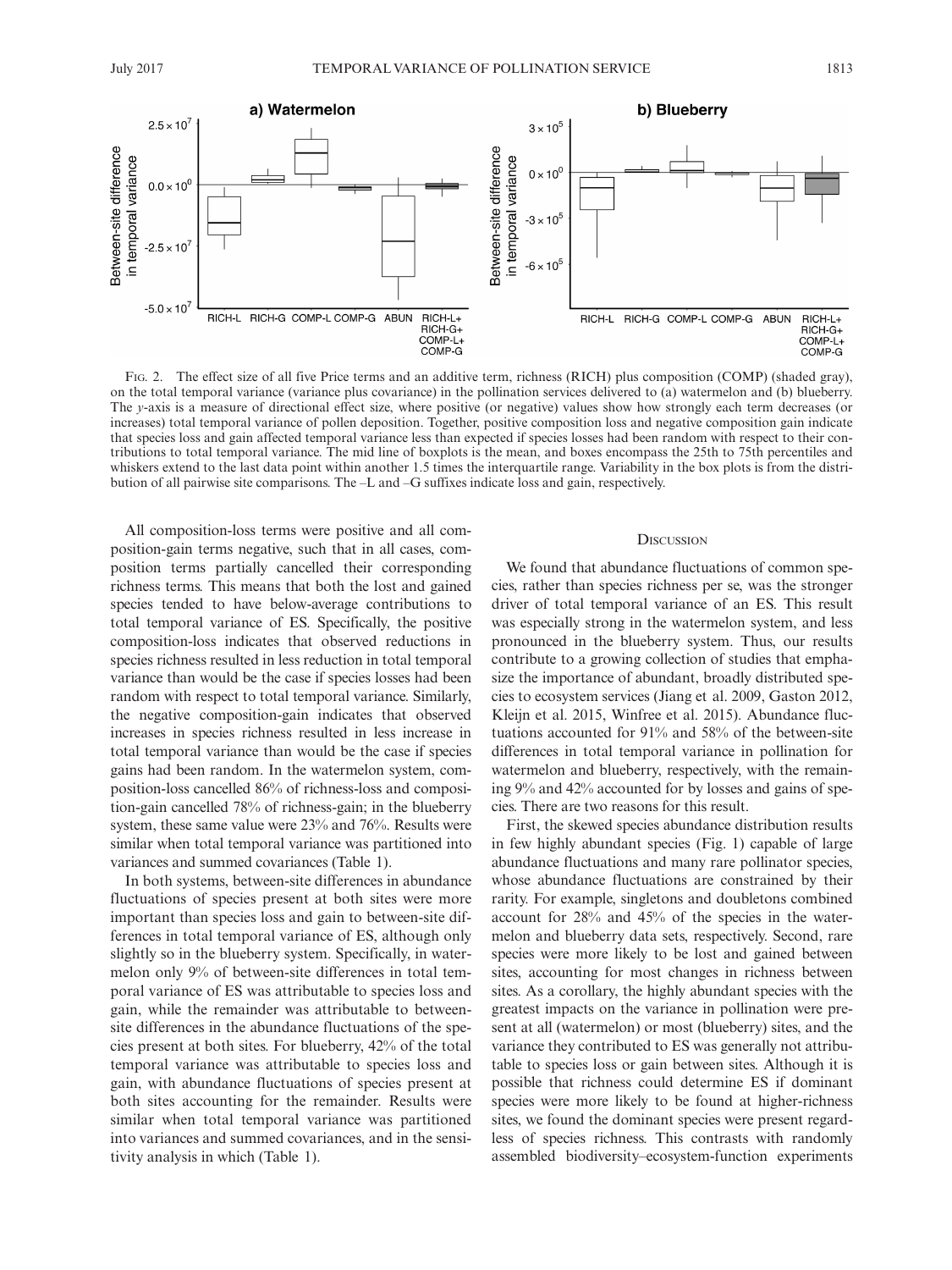

FIG. 2. The effect size of all five Price terms and an additive term, richness (RICH) plus composition (COMP) (shaded gray), on the total temporal variance (variance plus covariance) in the pollination services delivered to (a) watermelon and (b) blueberry. The y-axis is a measure of directional effect size, where positive (or negative) values show how strongly each term decreases (or increases) total temporal variance of pollen deposition. Together, positive composition loss and negative composition gain indicate that species loss and gain affected temporal variance less than expected if species losses had been random with respect to their contributions to total temporal variance. The mid line of boxplots is the mean, and boxes encompass the 25th to 75th percentiles and whiskers extend to the last data point within another 1.5 times the interquartile range. Variability in the box plots is from the distribution of all pairwise site comparisons. The –L and –G suffixes indicate loss and gain, respectively.

All composition-loss terms were positive and all composition-gain terms negative, such that in all cases, composition terms partially cancelled their corresponding richness terms. This means that both the lost and gained species tended to have below-average contributions to total temporal variance of ES. Specifically, the positive composition-loss indicates that observed reductions in species richness resulted in less reduction in total temporal variance than would be the case if species losses had been random with respect to total temporal variance. Similarly, the negative composition-gain indicates that observed increases in species richness resulted in less increase in total temporal variance than would be the case if species gains had been random. In the watermelon system, composition-loss cancelled 86% of richness-loss and composition-gain cancelled 78% of richness-gain; in the blueberry system, these same value were 23% and 76%. Results were similar when total temporal variance was partitioned into variances and summed covariances (Table 1).

In both systems, between-site differences in abundance fluctuations of species present at both sites were more important than species loss and gain to between-site differences in total temporal variance of ES, although only slightly so in the blueberry system. Specifically, in watermelon only 9% of between-site differences in total temporal variance of ES was attributable to species loss and gain, while the remainder was attributable to betweensite differences in the abundance fluctuations of the species present at both sites. For blueberry, 42% of the total temporal variance was attributable to species loss and gain, with abundance fluctuations of species present at both sites accounting for the remainder. Results were similar when total temporal variance was partitioned into variances and summed covariances, and in the sensitivity analysis in which (Table 1).

#### **DISCUSSION**

We found that abundance fluctuations of common species, rather than species richness per se, was the stronger driver of total temporal variance of an ES. This result was especially strong in the watermelon system, and less pronounced in the blueberry system. Thus, our results contribute to a growing collection of studies that emphasize the importance of abundant, broadly distributed species to ecosystem services (Jiang et al. 2009, Gaston 2012, Kleijn et al. 2015, Winfree et al. 2015). Abundance fluctuations accounted for 91% and 58% of the between-site differences in total temporal variance in pollination for watermelon and blueberry, respectively, with the remaining 9% and 42% accounted for by losses and gains of species. There are two reasons for this result.

First, the skewed species abundance distribution results in few highly abundant species (Fig. 1) capable of large abundance fluctuations and many rare pollinator species, whose abundance fluctuations are constrained by their rarity. For example, singletons and doubletons combined account for 28% and 45% of the species in the watermelon and blueberry data sets, respectively. Second, rare species were more likely to be lost and gained between sites, accounting for most changes in richness between sites. As a corollary, the highly abundant species with the greatest impacts on the variance in pollination were present at all (watermelon) or most (blueberry) sites, and the variance they contributed to ES was generally not attributable to species loss or gain between sites. Although it is possible that richness could determine ES if dominant species were more likely to be found at higher-richness sites, we found the dominant species were present regardless of species richness. This contrasts with randomly assembled biodiversity–ecosystem-function experiments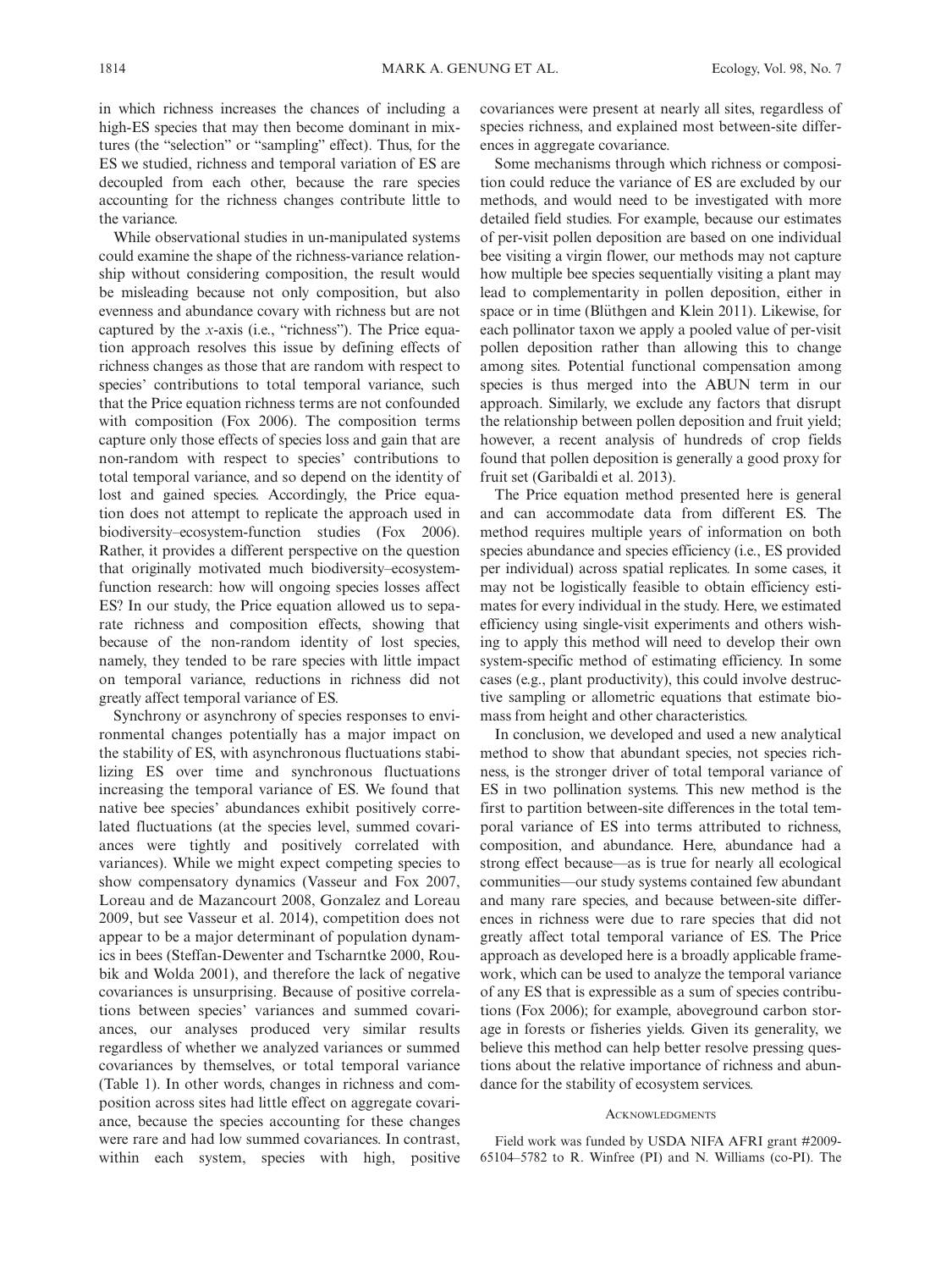in which richness increases the chances of including a high-ES species that may then become dominant in mixtures (the "selection" or "sampling" effect). Thus, for the ES we studied, richness and temporal variation of ES are decoupled from each other, because the rare species accounting for the richness changes contribute little to the variance.

While observational studies in un-manipulated systems could examine the shape of the richness-variance relationship without considering composition, the result would be misleading because not only composition, but also evenness and abundance covary with richness but are not captured by the x-axis (i.e., "richness"). The Price equation approach resolves this issue by defining effects of richness changes as those that are random with respect to species' contributions to total temporal variance, such that the Price equation richness terms are not confounded with composition (Fox 2006). The composition terms capture only those effects of species loss and gain that are non-random with respect to species' contributions to total temporal variance, and so depend on the identity of lost and gained species. Accordingly, the Price equation does not attempt to replicate the approach used in biodiversity–ecosystem-function studies (Fox 2006). Rather, it provides a different perspective on the question that originally motivated much biodiversity–ecosystemfunction research: how will ongoing species losses affect ES? In our study, the Price equation allowed us to separate richness and composition effects, showing that because of the non-random identity of lost species, namely, they tended to be rare species with little impact on temporal variance, reductions in richness did not greatly affect temporal variance of ES.

Synchrony or asynchrony of species responses to environmental changes potentially has a major impact on the stability of ES, with asynchronous fluctuations stabilizing ES over time and synchronous fluctuations increasing the temporal variance of ES. We found that native bee species' abundances exhibit positively correlated fluctuations (at the species level, summed covariances were tightly and positively correlated with variances). While we might expect competing species to show compensatory dynamics (Vasseur and Fox 2007, Loreau and de Mazancourt 2008, Gonzalez and Loreau 2009, but see Vasseur et al. 2014), competition does not appear to be a major determinant of population dynamics in bees (Steffan-Dewenter and Tscharntke 2000, Roubik and Wolda 2001), and therefore the lack of negative covariances is unsurprising. Because of positive correlations between species' variances and summed covariances, our analyses produced very similar results regardless of whether we analyzed variances or summed covariances by themselves, or total temporal variance (Table 1). In other words, changes in richness and composition across sites had little effect on aggregate covariance, because the species accounting for these changes were rare and had low summed covariances. In contrast, within each system, species with high, positive

covariances were present at nearly all sites, regardless of species richness, and explained most between-site differences in aggregate covariance.

Some mechanisms through which richness or composition could reduce the variance of ES are excluded by our methods, and would need to be investigated with more detailed field studies. For example, because our estimates of per-visit pollen deposition are based on one individual bee visiting a virgin flower, our methods may not capture how multiple bee species sequentially visiting a plant may lead to complementarity in pollen deposition, either in space or in time (Blüthgen and Klein 2011). Likewise, for each pollinator taxon we apply a pooled value of per-visit pollen deposition rather than allowing this to change among sites. Potential functional compensation among species is thus merged into the ABUN term in our approach. Similarly, we exclude any factors that disrupt the relationship between pollen deposition and fruit yield; however, a recent analysis of hundreds of crop fields found that pollen deposition is generally a good proxy for fruit set (Garibaldi et al. 2013).

The Price equation method presented here is general and can accommodate data from different ES. The method requires multiple years of information on both species abundance and species efficiency (i.e., ES provided per individual) across spatial replicates. In some cases, it may not be logistically feasible to obtain efficiency estimates for every individual in the study. Here, we estimated efficiency using single-visit experiments and others wishing to apply this method will need to develop their own system-specific method of estimating efficiency. In some cases (e.g., plant productivity), this could involve destructive sampling or allometric equations that estimate biomass from height and other characteristics.

In conclusion, we developed and used a new analytical method to show that abundant species, not species richness, is the stronger driver of total temporal variance of ES in two pollination systems. This new method is the first to partition between-site differences in the total temporal variance of ES into terms attributed to richness, composition, and abundance. Here, abundance had a strong effect because—as is true for nearly all ecological communities—our study systems contained few abundant and many rare species, and because between-site differences in richness were due to rare species that did not greatly affect total temporal variance of ES. The Price approach as developed here is a broadly applicable framework, which can be used to analyze the temporal variance of any ES that is expressible as a sum of species contributions (Fox 2006); for example, aboveground carbon storage in forests or fisheries yields. Given its generality, we believe this method can help better resolve pressing questions about the relative importance of richness and abundance for the stability of ecosystem services.

# **ACKNOWLEDGMENTS**

Field work was funded by USDA NIFA AFRI grant #2009- 65104–5782 to R. Winfree (PI) and N. Williams (co-PI). The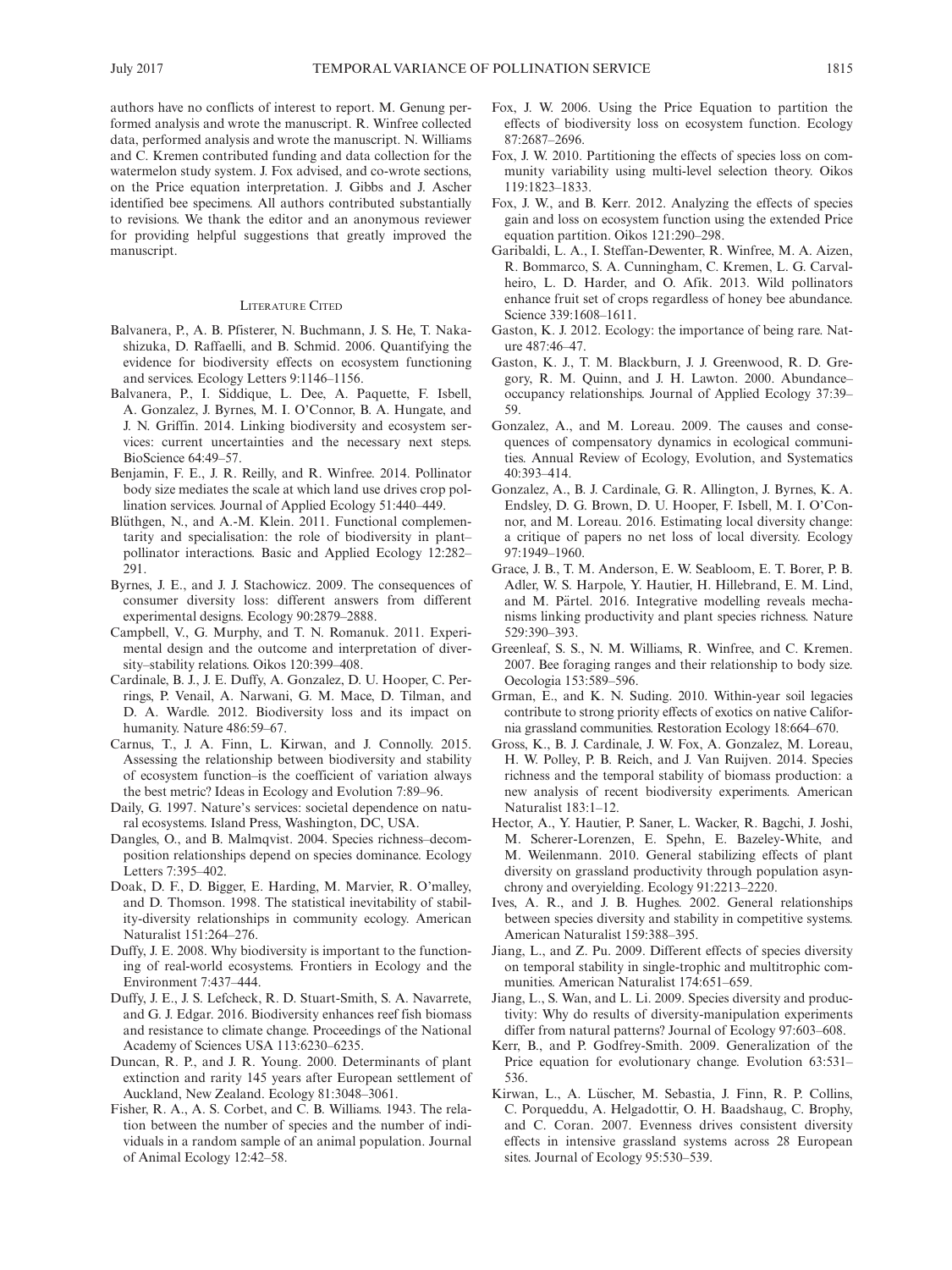authors have no conflicts of interest to report. M. Genung performed analysis and wrote the manuscript. R. Winfree collected data, performed analysis and wrote the manuscript. N. Williams and C. Kremen contributed funding and data collection for the watermelon study system. J. Fox advised, and co-wrote sections, on the Price equation interpretation. J. Gibbs and J. Ascher identified bee specimens. All authors contributed substantially to revisions. We thank the editor and an anonymous reviewer for providing helpful suggestions that greatly improved the manuscript.

# LITERATURE CITED

- Balvanera, P., A. B. Pfisterer, N. Buchmann, J. S. He, T. Nakashizuka, D. Raffaelli, and B. Schmid. 2006. Quantifying the evidence for biodiversity effects on ecosystem functioning and services. Ecology Letters 9:1146–1156.
- Balvanera, P., I. Siddique, L. Dee, A. Paquette, F. Isbell, A. Gonzalez, J. Byrnes, M. I. O'Connor, B. A. Hungate, and J. N. Griffin. 2014. Linking biodiversity and ecosystem services: current uncertainties and the necessary next steps. BioScience 64:49–57.
- Benjamin, F. E., J. R. Reilly, and R. Winfree. 2014. Pollinator body size mediates the scale at which land use drives crop pollination services. Journal of Applied Ecology 51:440–449.
- Blüthgen, N., and A.-M. Klein. 2011. Functional complementarity and specialisation: the role of biodiversity in plant– pollinator interactions. Basic and Applied Ecology 12:282– 291.
- Byrnes, J. E., and J. J. Stachowicz. 2009. The consequences of consumer diversity loss: different answers from different experimental designs. Ecology 90:2879–2888.
- Campbell, V., G. Murphy, and T. N. Romanuk. 2011. Experimental design and the outcome and interpretation of diversity–stability relations. Oikos 120:399–408.
- Cardinale, B. J., J. E. Duffy, A. Gonzalez, D. U. Hooper, C. Perrings, P. Venail, A. Narwani, G. M. Mace, D. Tilman, and D. A. Wardle. 2012. Biodiversity loss and its impact on humanity. Nature 486:59–67.
- Carnus, T., J. A. Finn, L. Kirwan, and J. Connolly. 2015. Assessing the relationship between biodiversity and stability of ecosystem function–is the coefficient of variation always the best metric? Ideas in Ecology and Evolution 7:89–96.
- Daily, G. 1997. Nature's services: societal dependence on natural ecosystems. Island Press, Washington, DC, USA.
- Dangles, O., and B. Malmqvist. 2004. Species richness–decomposition relationships depend on species dominance. Ecology Letters 7:395–402.
- Doak, D. F., D. Bigger, E. Harding, M. Marvier, R. O'malley, and D. Thomson. 1998. The statistical inevitability of stability-diversity relationships in community ecology. American Naturalist 151:264–276.
- Duffy, J. E. 2008. Why biodiversity is important to the functioning of real-world ecosystems. Frontiers in Ecology and the Environment 7:437–444.
- Duffy, J. E., J. S. Lefcheck, R. D. Stuart-Smith, S. A. Navarrete, and G. J. Edgar. 2016. Biodiversity enhances reef fish biomass and resistance to climate change. Proceedings of the National Academy of Sciences USA 113:6230–6235.
- Duncan, R. P., and J. R. Young. 2000. Determinants of plant extinction and rarity 145 years after European settlement of Auckland, New Zealand. Ecology 81:3048–3061.
- Fisher, R. A., A. S. Corbet, and C. B. Williams. 1943. The relation between the number of species and the number of individuals in a random sample of an animal population. Journal of Animal Ecology 12:42–58.
- Fox, J. W. 2006. Using the Price Equation to partition the effects of biodiversity loss on ecosystem function. Ecology 87:2687–2696.
- Fox, J. W. 2010. Partitioning the effects of species loss on community variability using multi-level selection theory. Oikos 119:1823–1833.
- Fox, J. W., and B. Kerr. 2012. Analyzing the effects of species gain and loss on ecosystem function using the extended Price equation partition. Oikos 121:290–298.
- Garibaldi, L. A., I. Steffan-Dewenter, R. Winfree, M. A. Aizen, R. Bommarco, S. A. Cunningham, C. Kremen, L. G. Carvalheiro, L. D. Harder, and O. Afik. 2013. Wild pollinators enhance fruit set of crops regardless of honey bee abundance. Science 339:1608–1611.
- Gaston, K. J. 2012. Ecology: the importance of being rare. Nature 487:46–47.
- Gaston, K. J., T. M. Blackburn, J. J. Greenwood, R. D. Gregory, R. M. Quinn, and J. H. Lawton. 2000. Abundance– occupancy relationships. Journal of Applied Ecology 37:39– 59.
- Gonzalez, A., and M. Loreau. 2009. The causes and consequences of compensatory dynamics in ecological communities. Annual Review of Ecology, Evolution, and Systematics 40:393–414.
- Gonzalez, A., B. J. Cardinale, G. R. Allington, J. Byrnes, K. A. Endsley, D. G. Brown, D. U. Hooper, F. Isbell, M. I. O'Connor, and M. Loreau. 2016. Estimating local diversity change: a critique of papers no net loss of local diversity. Ecology 97:1949–1960.
- Grace, J. B., T. M. Anderson, E. W. Seabloom, E. T. Borer, P. B. Adler, W. S. Harpole, Y. Hautier, H. Hillebrand, E. M. Lind, and M. Pärtel. 2016. Integrative modelling reveals mechanisms linking productivity and plant species richness. Nature 529:390–393.
- Greenleaf, S. S., N. M. Williams, R. Winfree, and C. Kremen. 2007. Bee foraging ranges and their relationship to body size. Oecologia 153:589–596.
- Grman, E., and K. N. Suding. 2010. Within-year soil legacies contribute to strong priority effects of exotics on native California grassland communities. Restoration Ecology 18:664–670.
- Gross, K., B. J. Cardinale, J. W. Fox, A. Gonzalez, M. Loreau, H. W. Polley, P. B. Reich, and J. Van Ruijven. 2014. Species richness and the temporal stability of biomass production: a new analysis of recent biodiversity experiments. American Naturalist 183:1–12.
- Hector, A., Y. Hautier, P. Saner, L. Wacker, R. Bagchi, J. Joshi, M. Scherer-Lorenzen, E. Spehn, E. Bazeley-White, and M. Weilenmann. 2010. General stabilizing effects of plant diversity on grassland productivity through population asynchrony and overyielding. Ecology 91:2213–2220.
- Ives, A. R., and J. B. Hughes. 2002. General relationships between species diversity and stability in competitive systems. American Naturalist 159:388–395.
- Jiang, L., and Z. Pu. 2009. Different effects of species diversity on temporal stability in single-trophic and multitrophic communities. American Naturalist 174:651–659.
- Jiang, L., S. Wan, and L. Li. 2009. Species diversity and productivity: Why do results of diversity-manipulation experiments differ from natural patterns? Journal of Ecology 97:603–608.
- Kerr, B., and P. Godfrey-Smith. 2009. Generalization of the Price equation for evolutionary change. Evolution 63:531– 536.
- Kirwan, L., A. Lüscher, M. Sebastia, J. Finn, R. P. Collins, C. Porqueddu, A. Helgadottir, O. H. Baadshaug, C. Brophy, and C. Coran. 2007. Evenness drives consistent diversity effects in intensive grassland systems across 28 European sites. Journal of Ecology 95:530–539.